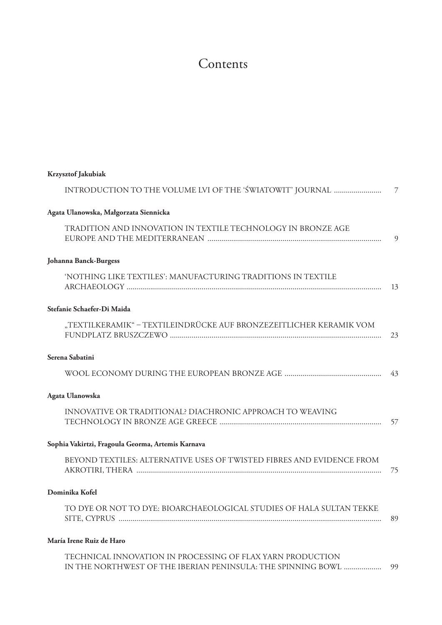## Contents

| <b>Krzysztof Jakubiak</b>                                                                                                      |                |
|--------------------------------------------------------------------------------------------------------------------------------|----------------|
| INTRODUCTION TO THE VOLUME LVI OF THE 'ŚWIATOWIT' JOURNAL                                                                      | $\overline{7}$ |
| Agata Ulanowska, Małgorzata Siennicka                                                                                          |                |
| TRADITION AND INNOVATION IN TEXTILE TECHNOLOGY IN BRONZE AGE                                                                   | $\mathbf{c}$   |
| Johanna Banck-Burgess                                                                                                          |                |
| 'NOTHING LIKE TEXTILES': MANUFACTURING TRADITIONS IN TEXTILE                                                                   |                |
| Stefanie Schaefer-Di Maida                                                                                                     |                |
| "TEXTILKERAMIK" – TEXTILEINDRÜCKE AUF BRONZEZEITLICHER KERAMIK VOM                                                             | 23             |
| Serena Sabatini                                                                                                                |                |
|                                                                                                                                |                |
| Agata Ulanowska                                                                                                                |                |
| INNOVATIVE OR TRADITIONAL? DIACHRONIC APPROACH TO WEAVING                                                                      | -57            |
| Sophia Vakirtzi, Fragoula Georma, Artemis Karnava                                                                              |                |
| BEYOND TEXTILES: ALTERNATIVE USES OF TWISTED FIBRES AND EVIDENCE FROM                                                          | -75            |
| Dominika Kofel                                                                                                                 |                |
| TO DYE OR NOT TO DYE: BIOARCHAEOLOGICAL STUDIES OF HALA SULTAN TEKKE                                                           | 89             |
| María Irene Ruiz de Haro                                                                                                       |                |
| TECHNICAL INNOVATION IN PROCESSING OF FLAX YARN PRODUCTION<br>IN THE NORTHWEST OF THE IBERIAN PENINSULA: THE SPINNING BOWL  99 |                |